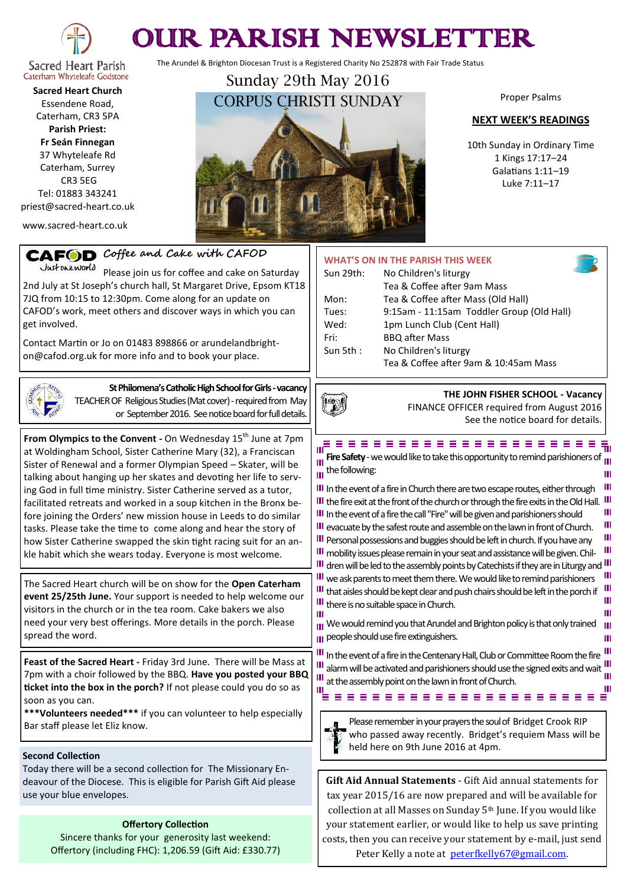

# OUR PARISH NEWSLETTER

The Arundel & Brighton Diocesan Trust is a Registered Charity No 252878 with Fair Trade Status

Sacred Heart Parish Caterham Whyteleafe Godstone **Sacred Heart Church**

Essendene Road, Caterham, CR3 5PA **Parish Priest: Fr Seán Finnegan** 37 Whyteleafe Rd Caterham, Surrey CR3 5EG

Tel: 01883 343241 priest@sacred-heart.co.uk

www.sacred-heart.co.uk

Sunday 29th May 2016 CORPUS CHRISTI SUNDAY

Proper Psalms

#### **NEXT WEEK'S READINGS**

10th Sunday in Ordinary Time 1 Kings 17:17–24 Galatians 1:11–19 Luke 7:11–17

> Ш Ш Ш

Ш Ш Ш Ш

Ш Ш Ш

Ш Ш

Ш Ш

| Coffee and Cake with CAFOD<br><b>CAFOD</b><br>Justoneworld<br>Please join us for coffee and cake on Saturday<br>2nd July at St Joseph's church hall, St Margaret Drive, Epsom KT18<br>7JQ from 10:15 to 12:30pm. Come along for an update on<br>CAFOD's work, meet others and discover ways in which you can<br>get involved.<br>Contact Martin or Jo on 01483 898866 or arundelandbright-<br>on@cafod.org.uk for more info and to book your place.                                                                                                                                                                                                                                                                                                                                                                                                                                                                                                                                                      | WHAT'S ON IN THE PARISH THIS WEEK<br>Sun 29th:<br>No Children's liturgy<br>Tea & Coffee after 9am Mass<br>Tea & Coffee after Mass (Old Hall)<br>Mon:<br>9:15am - 11:15am Toddler Group (Old Hall)<br>Tues:<br>Wed:<br>1pm Lunch Club (Cent Hall)<br>Fri:<br><b>BBQ</b> after Mass<br>Sun 5th:<br>No Children's liturgy<br>Tea & Coffee after 9am & 10:45am Mass                                                                                                                                                                                                                                                                                                                                                                                                                                                                                                                                                                                                                                                                                                                                                                                                           |
|----------------------------------------------------------------------------------------------------------------------------------------------------------------------------------------------------------------------------------------------------------------------------------------------------------------------------------------------------------------------------------------------------------------------------------------------------------------------------------------------------------------------------------------------------------------------------------------------------------------------------------------------------------------------------------------------------------------------------------------------------------------------------------------------------------------------------------------------------------------------------------------------------------------------------------------------------------------------------------------------------------|---------------------------------------------------------------------------------------------------------------------------------------------------------------------------------------------------------------------------------------------------------------------------------------------------------------------------------------------------------------------------------------------------------------------------------------------------------------------------------------------------------------------------------------------------------------------------------------------------------------------------------------------------------------------------------------------------------------------------------------------------------------------------------------------------------------------------------------------------------------------------------------------------------------------------------------------------------------------------------------------------------------------------------------------------------------------------------------------------------------------------------------------------------------------------|
| St Philomena's Catholic High School for Girls - vacancy<br>TEACHER OF Religious Studies (Mat cover) - required from May<br>or September 2016. See notice board for full details.                                                                                                                                                                                                                                                                                                                                                                                                                                                                                                                                                                                                                                                                                                                                                                                                                         | THE JOHN FISHER SCHOOL - Vacancy<br>FINANCE OFFICER required from August 2016<br>See the notice board for details.                                                                                                                                                                                                                                                                                                                                                                                                                                                                                                                                                                                                                                                                                                                                                                                                                                                                                                                                                                                                                                                        |
| From Olympics to the Convent - On Wednesday 15 <sup>th</sup> June at 7pm<br>at Woldingham School, Sister Catherine Mary (32), a Franciscan<br>Sister of Renewal and a former Olympian Speed - Skater, will be<br>talking about hanging up her skates and devoting her life to serv-<br>ing God in full time ministry. Sister Catherine served as a tutor,<br>facilitated retreats and worked in a soup kitchen in the Bronx be-<br>fore joining the Orders' new mission house in Leeds to do similar<br>tasks. Please take the time to come along and hear the story of<br>how Sister Catherine swapped the skin tight racing suit for an an-<br>kle habit which she wears today. Everyone is most welcome.<br>The Sacred Heart church will be on show for the Open Caterham<br>event 25/25th June. Your support is needed to help welcome our<br>visitors in the church or in the tea room. Cake bakers we also<br>need your very best offerings. More details in the porch. Please<br>spread the word. | = = = = = = = = = = = = = = = =<br>Ш<br>Fire Safety - we would like to take this opportunity to remind parishioners of $\mathbf{u}$<br>Ш<br>$\overline{\mathsf{H}}$ the following:<br>III In the event of a fire in Church there are two escape routes, either through<br>III the fire exit at the front of the church or through the fire exits in the Old Hall.<br>III In the event of a fire the call "Fire" will be given and parishioners should<br>III evacuate by the safest route and assemble on the lawn in front of Church.<br>III Personal possessions and buggies should be left in church. If you have any<br>III mobility issues please remain in your seat and assistance will be given. Chil-<br>III dren will be led to the assembly points by Catechists if they are in Liturgy and <sup>I</sup><br>III we ask parents to meet them there. We would like to remind parishioners<br>III that aisles should be kept clear and push chairs should be left in the porch if<br>III there is no suitable space in Church.<br>Ш<br>III We would remind you that Arundel and Brighton policy is that only trained<br>III people should use fire extinguishers. |
| Feast of the Sacred Heart - Friday 3rd June. There will be Mass at<br>7pm with a choir followed by the BBQ. Have you posted your BBQ<br>ticket into the box in the porch? If not please could you do so as<br>soon as you can.<br>*** Volunteers needed*** if you can volunteer to help especially<br>Bar staff please let Eliz know.                                                                                                                                                                                                                                                                                                                                                                                                                                                                                                                                                                                                                                                                    | III In the event of a fire in the Centenary Hall, Club or Committee Room the fire<br>Ш<br>alarm will be activated and parishioners should use the signed exits and wait<br>Ш<br>at the assembly point on the lawn in front of Church.<br>Please remember in your prayers the soul of Bridget Crook RIP<br>who passed away recently. Bridget's requiem Mass will be                                                                                                                                                                                                                                                                                                                                                                                                                                                                                                                                                                                                                                                                                                                                                                                                        |
| <b>Second Collection</b><br>Today there will be a second collection for The Missionary En-<br>deavour of the Diocese. This is eligible for Parish Gift Aid please<br>use your blue envelopes.                                                                                                                                                                                                                                                                                                                                                                                                                                                                                                                                                                                                                                                                                                                                                                                                            | held here on 9th June 2016 at 4pm.<br>Gift Aid Annual Statements - Gift Aid annual statements for<br>tax year 2015/16 are now prepared and will be available for                                                                                                                                                                                                                                                                                                                                                                                                                                                                                                                                                                                                                                                                                                                                                                                                                                                                                                                                                                                                          |
| <b>Offertory Collection</b><br>Sincere thanks for your generosity last weekend:<br>Offertory (including FHC): 1,206.59 (Gift Aid: £330.77)                                                                                                                                                                                                                                                                                                                                                                                                                                                                                                                                                                                                                                                                                                                                                                                                                                                               | collection at all Masses on Sunday 5 <sup>th</sup> June. If you would like<br>your statement earlier, or would like to help us save printing<br>costs, then you can receive your statement by e-mail, just send<br>Peter Kelly a note at peterfkelly67@gmail.com.                                                                                                                                                                                                                                                                                                                                                                                                                                                                                                                                                                                                                                                                                                                                                                                                                                                                                                         |